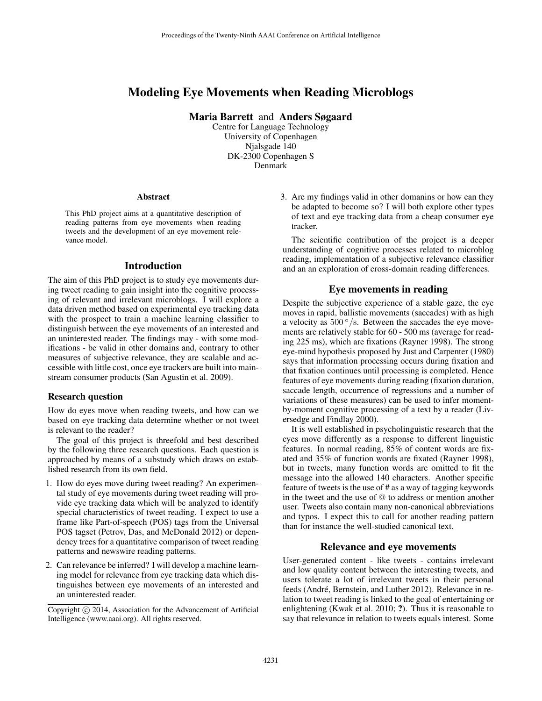# Modeling Eye Movements when Reading Microblogs

Maria Barrett and Anders Søgaard

Centre for Language Technology University of Copenhagen Njalsgade 140 DK-2300 Copenhagen S Denmark

#### Abstract

This PhD project aims at a quantitative description of reading patterns from eye movements when reading tweets and the development of an eye movement relevance model.

### Introduction

The aim of this PhD project is to study eye movements during tweet reading to gain insight into the cognitive processing of relevant and irrelevant microblogs. I will explore a data driven method based on experimental eye tracking data with the prospect to train a machine learning classifier to distinguish between the eye movements of an interested and an uninterested reader. The findings may - with some modifications - be valid in other domains and, contrary to other measures of subjective relevance, they are scalable and accessible with little cost, once eye trackers are built into mainstream consumer products (San Agustin et al. 2009).

#### Research question

How do eyes move when reading tweets, and how can we based on eye tracking data determine whether or not tweet is relevant to the reader?

The goal of this project is threefold and best described by the following three research questions. Each question is approached by means of a substudy which draws on established research from its own field.

- 1. How do eyes move during tweet reading? An experimental study of eye movements during tweet reading will provide eye tracking data which will be analyzed to identify special characteristics of tweet reading. I expect to use a frame like Part-of-speech (POS) tags from the Universal POS tagset (Petrov, Das, and McDonald 2012) or dependency trees for a quantitative comparison of tweet reading patterns and newswire reading patterns.
- 2. Can relevance be inferred? I will develop a machine learning model for relevance from eye tracking data which distinguishes between eye movements of an interested and an uninterested reader.

3. Are my findings valid in other domanins or how can they be adapted to become so? I will both explore other types of text and eye tracking data from a cheap consumer eye tracker.

The scientific contribution of the project is a deeper understanding of cognitive processes related to microblog reading, implementation of a subjective relevance classifier and an an exploration of cross-domain reading differences.

#### Eye movements in reading

Despite the subjective experience of a stable gaze, the eye moves in rapid, ballistic movements (saccades) with as high a velocity as  $500^{\circ}/s$ . Between the saccades the eye movements are relatively stable for 60 - 500 ms (average for reading 225 ms), which are fixations (Rayner 1998). The strong eye-mind hypothesis proposed by Just and Carpenter (1980) says that information processing occurs during fixation and that fixation continues until processing is completed. Hence features of eye movements during reading (fixation duration, saccade length, occurrence of regressions and a number of variations of these measures) can be used to infer momentby-moment cognitive processing of a text by a reader (Liversedge and Findlay 2000).

It is well established in psycholinguistic research that the eyes move differently as a response to different linguistic features. In normal reading, 85% of content words are fixated and 35% of function words are fixated (Rayner 1998), but in tweets, many function words are omitted to fit the message into the allowed 140 characters. Another specific feature of tweets is the use of # as a way of tagging keywords in the tweet and the use of @ to address or mention another user. Tweets also contain many non-canonical abbreviations and typos. I expect this to call for another reading pattern than for instance the well-studied canonical text.

### Relevance and eye movements

User-generated content - like tweets - contains irrelevant and low quality content between the interesting tweets, and users tolerate a lot of irrelevant tweets in their personal feeds (André, Bernstein, and Luther 2012). Relevance in relation to tweet reading is linked to the goal of entertaining or enlightening (Kwak et al. 2010; ?). Thus it is reasonable to say that relevance in relation to tweets equals interest. Some

Copyright (c) 2014, Association for the Advancement of Artificial Intelligence (www.aaai.org). All rights reserved.